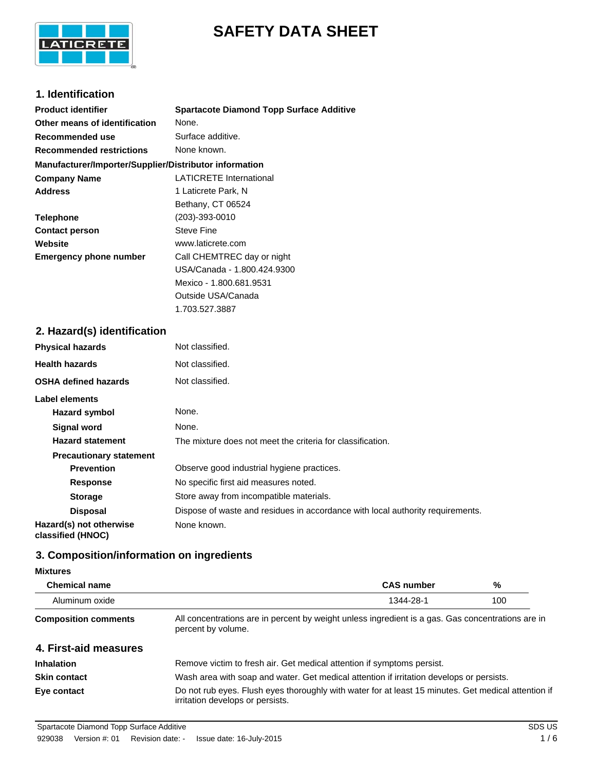

# **SAFETY DATA SHEET**

# **1. Identification**

| <b>Product identifier</b>                              | <b>Spartacote Diamond Topp Surface Additive</b> |  |
|--------------------------------------------------------|-------------------------------------------------|--|
| Other means of identification                          | None.                                           |  |
| Recommended use                                        | Surface additive.                               |  |
| <b>Recommended restrictions</b>                        | None known.                                     |  |
| Manufacturer/Importer/Supplier/Distributor information |                                                 |  |
| <b>Company Name</b>                                    | <b>LATICRETE International</b>                  |  |
| <b>Address</b>                                         | 1 Laticrete Park, N                             |  |
|                                                        | Bethany, CT 06524                               |  |
| <b>Telephone</b>                                       | (203)-393-0010                                  |  |
| <b>Contact person</b>                                  | <b>Steve Fine</b>                               |  |
| Website                                                | www.laticrete.com                               |  |
| <b>Emergency phone number</b>                          | Call CHEMTREC day or night                      |  |
|                                                        | USA/Canada - 1.800.424.9300                     |  |
|                                                        | Mexico - 1.800.681.9531                         |  |
|                                                        | Outside USA/Canada                              |  |
|                                                        | 1.703.527.3887                                  |  |

# **2. Hazard(s) identification**

| <b>Physical hazards</b>                      | Not classified.                                                                |
|----------------------------------------------|--------------------------------------------------------------------------------|
| <b>Health hazards</b>                        | Not classified.                                                                |
| <b>OSHA defined hazards</b>                  | Not classified.                                                                |
| Label elements                               |                                                                                |
| Hazard symbol                                | None.                                                                          |
| Signal word                                  | None.                                                                          |
| <b>Hazard statement</b>                      | The mixture does not meet the criteria for classification.                     |
| <b>Precautionary statement</b>               |                                                                                |
| <b>Prevention</b>                            | Observe good industrial hygiene practices.                                     |
| <b>Response</b>                              | No specific first aid measures noted.                                          |
| <b>Storage</b>                               | Store away from incompatible materials.                                        |
| <b>Disposal</b>                              | Dispose of waste and residues in accordance with local authority requirements. |
| Hazard(s) not otherwise<br>classified (HNOC) | None known.                                                                    |

# **3. Composition/information on ingredients**

#### **Mixtures**

| <b>Chemical name</b>        |                                                                                                                                         | <b>CAS number</b> | %   |
|-----------------------------|-----------------------------------------------------------------------------------------------------------------------------------------|-------------------|-----|
| Aluminum oxide              |                                                                                                                                         | 1344-28-1         | 100 |
| <b>Composition comments</b> | All concentrations are in percent by weight unless ingredient is a gas. Gas concentrations are in<br>percent by volume.                 |                   |     |
| 4. First-aid measures       |                                                                                                                                         |                   |     |
| <b>Inhalation</b>           | Remove victim to fresh air. Get medical attention if symptoms persist.                                                                  |                   |     |
| <b>Skin contact</b>         | Wash area with soap and water. Get medical attention if irritation develops or persists.                                                |                   |     |
| Eye contact                 | Do not rub eyes. Flush eyes thoroughly with water for at least 15 minutes. Get medical attention if<br>irritation develops or persists. |                   |     |

Spartacote Diamond Topp Surface Additive SDS US CONSERVERSE SOBS US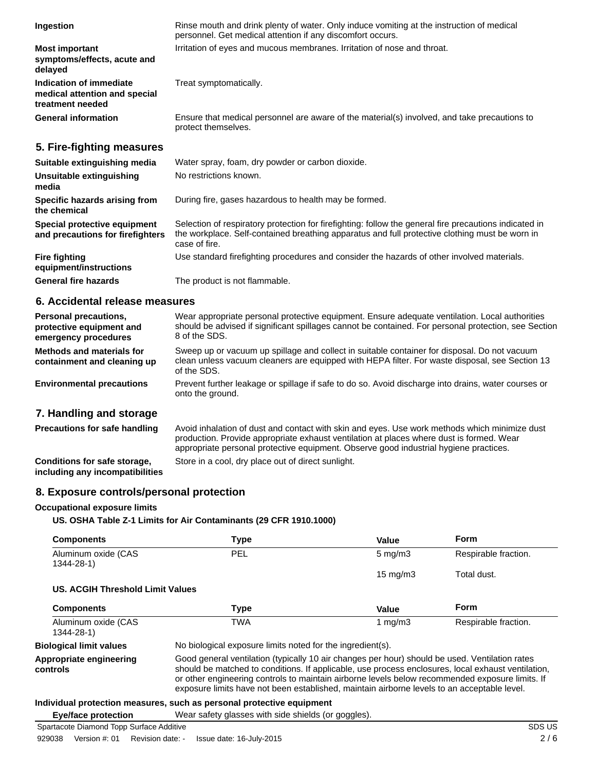| Ingestion                                                                    | Rinse mouth and drink plenty of water. Only induce vomiting at the instruction of medical<br>personnel. Get medical attention if any discomfort occurs.                                                                   |
|------------------------------------------------------------------------------|---------------------------------------------------------------------------------------------------------------------------------------------------------------------------------------------------------------------------|
| <b>Most important</b><br>symptoms/effects, acute and<br>delayed              | Irritation of eyes and mucous membranes. Irritation of nose and throat.                                                                                                                                                   |
| Indication of immediate<br>medical attention and special<br>treatment needed | Treat symptomatically.                                                                                                                                                                                                    |
| <b>General information</b>                                                   | Ensure that medical personnel are aware of the material(s) involved, and take precautions to<br>protect themselves.                                                                                                       |
| 5. Fire-fighting measures                                                    |                                                                                                                                                                                                                           |
| Suitable extinguishing media                                                 | Water spray, foam, dry powder or carbon dioxide.                                                                                                                                                                          |
| Unsuitable extinguishing<br>media                                            | No restrictions known.                                                                                                                                                                                                    |
| Specific hazards arising from<br>the chemical                                | During fire, gases hazardous to health may be formed.                                                                                                                                                                     |
| Special protective equipment<br>and precautions for firefighters             | Selection of respiratory protection for firefighting: follow the general fire precautions indicated in<br>the workplace. Self-contained breathing apparatus and full protective clothing must be worn in<br>case of fire. |
| <b>Fire fighting</b><br>equipment/instructions                               | Use standard firefighting procedures and consider the hazards of other involved materials.                                                                                                                                |
| <b>General fire hazards</b>                                                  | The product is not flammable.                                                                                                                                                                                             |

## **6. Accidental release measures**

| Personal precautions,<br>protective equipment and<br>emergency procedures | Wear appropriate personal protective equipment. Ensure adequate ventilation. Local authorities<br>should be advised if significant spillages cannot be contained. For personal protection, see Section<br>8 of the SDS. |
|---------------------------------------------------------------------------|-------------------------------------------------------------------------------------------------------------------------------------------------------------------------------------------------------------------------|
| Methods and materials for<br>containment and cleaning up                  | Sweep up or vacuum up spillage and collect in suitable container for disposal. Do not vacuum<br>clean unless vacuum cleaners are equipped with HEPA filter. For waste disposal, see Section 13<br>of the SDS.           |
| <b>Environmental precautions</b>                                          | Prevent further leakage or spillage if safe to do so. Avoid discharge into drains, water courses or<br>onto the ground.                                                                                                 |
| 7. Handling and storage                                                   |                                                                                                                                                                                                                         |

| <b>Precautions for safe handling</b>                            | Avoid inhalation of dust and contact with skin and eyes. Use work methods which minimize dust<br>production. Provide appropriate exhaust ventilation at places where dust is formed. Wear<br>appropriate personal protective equipment. Observe good industrial hygiene practices. |
|-----------------------------------------------------------------|------------------------------------------------------------------------------------------------------------------------------------------------------------------------------------------------------------------------------------------------------------------------------------|
| Conditions for safe storage,<br>including any incompatibilities | Store in a cool, dry place out of direct sunlight.                                                                                                                                                                                                                                 |

## **8. Exposure controls/personal protection**

#### **Occupational exposure limits**

### **US. OSHA Table Z-1 Limits for Air Contaminants (29 CFR 1910.1000)**

| <b>Components</b>                   | <b>Type</b>                                                                                                                                                                                                                                                                                                                                                                                            | Value             | Form                 |
|-------------------------------------|--------------------------------------------------------------------------------------------------------------------------------------------------------------------------------------------------------------------------------------------------------------------------------------------------------------------------------------------------------------------------------------------------------|-------------------|----------------------|
| Aluminum oxide (CAS<br>1344-28-1)   | <b>PEL</b>                                                                                                                                                                                                                                                                                                                                                                                             | $5 \text{ mg/m}$  | Respirable fraction. |
|                                     |                                                                                                                                                                                                                                                                                                                                                                                                        | $15 \text{ mg/m}$ | Total dust.          |
| US. ACGIH Threshold Limit Values    |                                                                                                                                                                                                                                                                                                                                                                                                        |                   |                      |
| <b>Components</b>                   | <b>Type</b>                                                                                                                                                                                                                                                                                                                                                                                            | Value             | Form                 |
| Aluminum oxide (CAS<br>1344-28-1)   | <b>TWA</b>                                                                                                                                                                                                                                                                                                                                                                                             | 1 $mq/m3$         | Respirable fraction. |
| <b>Biological limit values</b>      | No biological exposure limits noted for the ingredient(s).                                                                                                                                                                                                                                                                                                                                             |                   |                      |
| Appropriate engineering<br>controls | Good general ventilation (typically 10 air changes per hour) should be used. Ventilation rates<br>should be matched to conditions. If applicable, use process enclosures, local exhaust ventilation,<br>or other engineering controls to maintain airborne levels below recommended exposure limits. If<br>exposure limits have not been established, maintain airborne levels to an acceptable level. |                   |                      |

#### **Individual protection measures, such as personal protective equipment**

**Eye/face protection** Wear safety glasses with side shields (or goggles).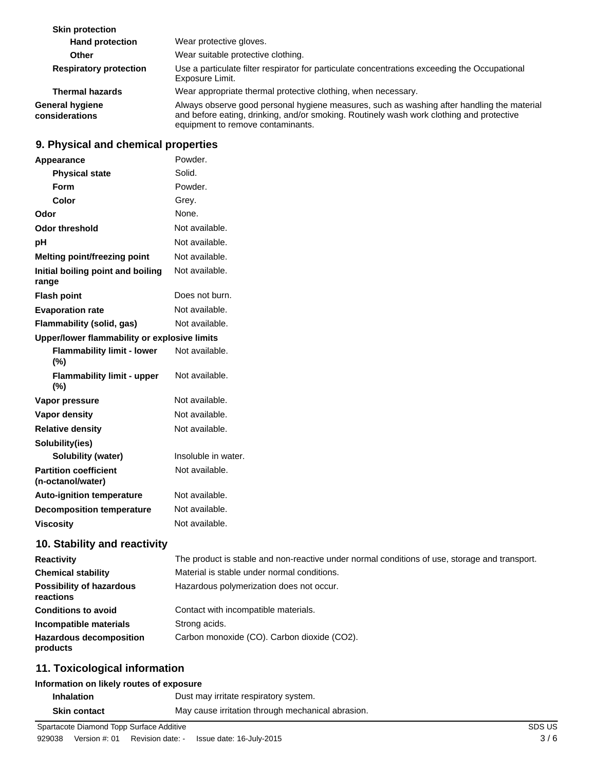| <b>Skin protection</b>                   |                                                                                                                                                                                                                             |
|------------------------------------------|-----------------------------------------------------------------------------------------------------------------------------------------------------------------------------------------------------------------------------|
| <b>Hand protection</b>                   | Wear protective gloves.                                                                                                                                                                                                     |
| <b>Other</b>                             | Wear suitable protective clothing.                                                                                                                                                                                          |
| <b>Respiratory protection</b>            | Use a particulate filter respirator for particulate concentrations exceeding the Occupational<br>Exposure Limit.                                                                                                            |
| <b>Thermal hazards</b>                   | Wear appropriate thermal protective clothing, when necessary.                                                                                                                                                               |
| <b>General hygiene</b><br>considerations | Always observe good personal hygiene measures, such as washing after handling the material<br>and before eating, drinking, and/or smoking. Routinely wash work clothing and protective<br>equipment to remove contaminants. |

# **9. Physical and chemical properties**

| Appearance                                        | Powder.                                                                                       |
|---------------------------------------------------|-----------------------------------------------------------------------------------------------|
| <b>Physical state</b>                             | Solid.                                                                                        |
| Form                                              | Powder.                                                                                       |
| Color                                             | Grey.                                                                                         |
| Odor                                              | None.                                                                                         |
| <b>Odor threshold</b>                             | Not available.                                                                                |
| pH                                                | Not available.                                                                                |
| Melting point/freezing point                      | Not available.                                                                                |
| Initial boiling point and boiling<br>range        | Not available.                                                                                |
| <b>Flash point</b>                                | Does not burn.                                                                                |
| <b>Evaporation rate</b>                           | Not available.                                                                                |
| Flammability (solid, gas)                         | Not available.                                                                                |
| Upper/lower flammability or explosive limits      |                                                                                               |
| <b>Flammability limit - lower</b><br>(%)          | Not available.                                                                                |
| <b>Flammability limit - upper</b><br>(%)          | Not available.                                                                                |
| Vapor pressure                                    | Not available.                                                                                |
| <b>Vapor density</b>                              | Not available.                                                                                |
| <b>Relative density</b>                           | Not available.                                                                                |
| Solubility(ies)                                   |                                                                                               |
| Solubility (water)                                | Insoluble in water.                                                                           |
| <b>Partition coefficient</b><br>(n-octanol/water) | Not available.                                                                                |
| <b>Auto-ignition temperature</b>                  | Not available.                                                                                |
| <b>Decomposition temperature</b>                  | Not available.                                                                                |
| <b>Viscosity</b>                                  | Not available.                                                                                |
| 10. Stability and reactivity                      |                                                                                               |
| <b>Reactivity</b>                                 | The product is stable and non-reactive under normal conditions of use, storage and transport. |
| <b>Chemical stability</b>                         | Material is stable under normal conditions.                                                   |
| <b>Possibility of hazardous</b><br>reactions      | Hazardous polymerization does not occur.                                                      |
| <b>Conditions to avoid</b>                        | Contact with incompatible materials.                                                          |
| Incompatible materials                            | Strong acids.                                                                                 |
| <b>Hazardous decomposition</b><br>products        | Carbon monoxide (CO). Carbon dioxide (CO2).                                                   |
|                                                   |                                                                                               |

# **11. Toxicological information**

# **Information on likely routes of exposure**

| <b>Inhalation</b>   | Dust may irritate respiratory system.             |
|---------------------|---------------------------------------------------|
| <b>Skin contact</b> | May cause irritation through mechanical abrasion. |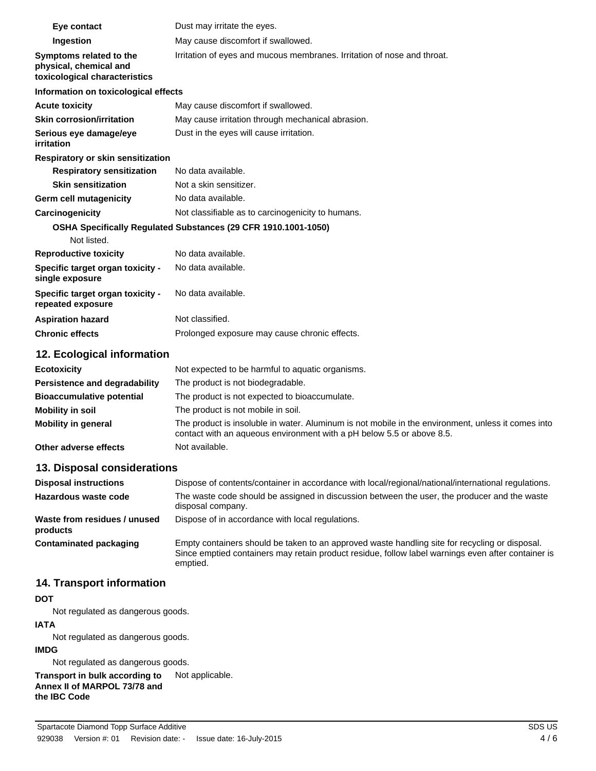| Eye contact                                                                        | Dust may irritate the eyes.                                                                                                                                                 |
|------------------------------------------------------------------------------------|-----------------------------------------------------------------------------------------------------------------------------------------------------------------------------|
| Ingestion                                                                          | May cause discomfort if swallowed.                                                                                                                                          |
| Symptoms related to the<br>physical, chemical and<br>toxicological characteristics | Irritation of eyes and mucous membranes. Irritation of nose and throat.                                                                                                     |
| Information on toxicological effects                                               |                                                                                                                                                                             |
| <b>Acute toxicity</b>                                                              | May cause discomfort if swallowed.                                                                                                                                          |
| <b>Skin corrosion/irritation</b>                                                   | May cause irritation through mechanical abrasion.                                                                                                                           |
| Serious eye damage/eye<br>irritation                                               | Dust in the eyes will cause irritation.                                                                                                                                     |
| Respiratory or skin sensitization                                                  |                                                                                                                                                                             |
| <b>Respiratory sensitization</b>                                                   | No data available.                                                                                                                                                          |
| <b>Skin sensitization</b>                                                          | Not a skin sensitizer.                                                                                                                                                      |
| Germ cell mutagenicity                                                             | No data available.                                                                                                                                                          |
| Carcinogenicity                                                                    | Not classifiable as to carcinogenicity to humans.                                                                                                                           |
| Not listed.                                                                        | OSHA Specifically Regulated Substances (29 CFR 1910.1001-1050)                                                                                                              |
| <b>Reproductive toxicity</b>                                                       | No data available.                                                                                                                                                          |
| Specific target organ toxicity -<br>single exposure                                | No data available.                                                                                                                                                          |
| Specific target organ toxicity -<br>repeated exposure                              | No data available.                                                                                                                                                          |
| <b>Aspiration hazard</b>                                                           | Not classified.                                                                                                                                                             |
| <b>Chronic effects</b>                                                             | Prolonged exposure may cause chronic effects.                                                                                                                               |
| 12. Ecological information                                                         |                                                                                                                                                                             |
| <b>Ecotoxicity</b>                                                                 | Not expected to be harmful to aquatic organisms.                                                                                                                            |
| <b>Persistence and degradability</b>                                               | The product is not biodegradable.                                                                                                                                           |
| <b>Bioaccumulative potential</b>                                                   | The product is not expected to bioaccumulate.                                                                                                                               |
| <b>Mobility in soil</b>                                                            | The product is not mobile in soil.                                                                                                                                          |
| <b>Mobility in general</b>                                                         | The product is insoluble in water. Aluminum is not mobile in the environment, unless it comes into<br>contact with an aqueous environment with a pH below 5.5 or above 8.5. |

**Other adverse effects** Not available.

## **13. Disposal considerations**

| <b>Disposal instructions</b>             | Dispose of contents/container in accordance with local/regional/national/international regulations.                                                                                                              |
|------------------------------------------|------------------------------------------------------------------------------------------------------------------------------------------------------------------------------------------------------------------|
| Hazardous waste code                     | The waste code should be assigned in discussion between the user, the producer and the waste<br>disposal company.                                                                                                |
| Waste from residues / unused<br>products | Dispose of in accordance with local regulations.                                                                                                                                                                 |
| Contaminated packaging                   | Empty containers should be taken to an approved waste handling site for recycling or disposal.<br>Since emptied containers may retain product residue, follow label warnings even after container is<br>emptied. |

# **14. Transport information**

#### **DOT**

Not regulated as dangerous goods.

### **IATA**

Not regulated as dangerous goods.

### **IMDG**

Not regulated as dangerous goods.

**Transport in bulk according to** Not applicable. **Annex II of MARPOL 73/78 and the IBC Code**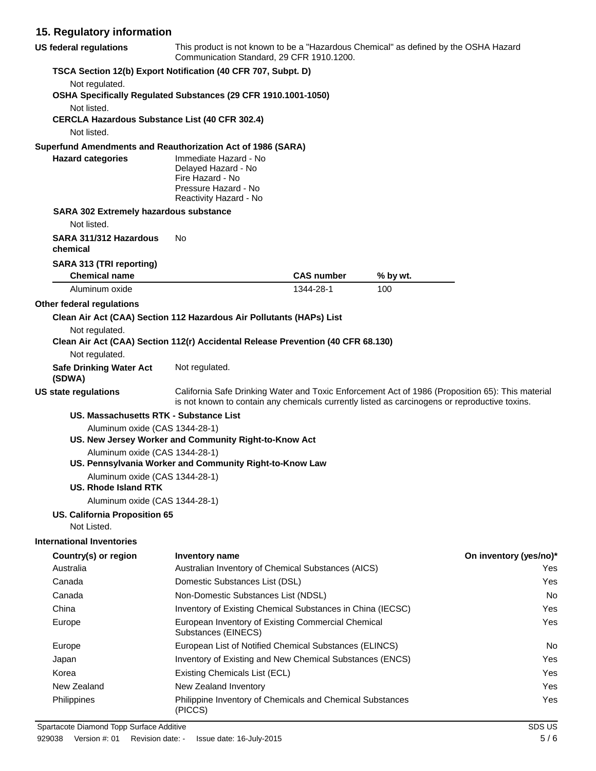# **15. Regulatory information**

| <b>US federal regulations</b>                                        | This product is not known to be a "Hazardous Chemical" as defined by the OSHA Hazard<br>Communication Standard, 29 CFR 1910.1200.                                                                 |                   |          |                        |
|----------------------------------------------------------------------|---------------------------------------------------------------------------------------------------------------------------------------------------------------------------------------------------|-------------------|----------|------------------------|
|                                                                      | TSCA Section 12(b) Export Notification (40 CFR 707, Subpt. D)                                                                                                                                     |                   |          |                        |
| Not regulated.                                                       | OSHA Specifically Regulated Substances (29 CFR 1910.1001-1050)                                                                                                                                    |                   |          |                        |
| Not listed.<br><b>CERCLA Hazardous Substance List (40 CFR 302.4)</b> |                                                                                                                                                                                                   |                   |          |                        |
| Not listed.                                                          |                                                                                                                                                                                                   |                   |          |                        |
| Superfund Amendments and Reauthorization Act of 1986 (SARA)          |                                                                                                                                                                                                   |                   |          |                        |
| <b>Hazard categories</b>                                             | Immediate Hazard - No<br>Delayed Hazard - No<br>Fire Hazard - No<br>Pressure Hazard - No<br>Reactivity Hazard - No                                                                                |                   |          |                        |
| SARA 302 Extremely hazardous substance                               |                                                                                                                                                                                                   |                   |          |                        |
| Not listed.                                                          |                                                                                                                                                                                                   |                   |          |                        |
| SARA 311/312 Hazardous<br>chemical                                   | No.                                                                                                                                                                                               |                   |          |                        |
| SARA 313 (TRI reporting)<br><b>Chemical name</b>                     |                                                                                                                                                                                                   | <b>CAS number</b> | % by wt. |                        |
| Aluminum oxide                                                       |                                                                                                                                                                                                   | 1344-28-1         | 100      |                        |
| Other federal regulations                                            |                                                                                                                                                                                                   |                   |          |                        |
|                                                                      | Clean Air Act (CAA) Section 112 Hazardous Air Pollutants (HAPs) List                                                                                                                              |                   |          |                        |
| Not regulated.                                                       |                                                                                                                                                                                                   |                   |          |                        |
|                                                                      | Clean Air Act (CAA) Section 112(r) Accidental Release Prevention (40 CFR 68.130)                                                                                                                  |                   |          |                        |
| Not regulated.                                                       |                                                                                                                                                                                                   |                   |          |                        |
| <b>Safe Drinking Water Act</b><br>(SDWA)                             | Not regulated.                                                                                                                                                                                    |                   |          |                        |
| <b>US state regulations</b>                                          | California Safe Drinking Water and Toxic Enforcement Act of 1986 (Proposition 65): This material<br>is not known to contain any chemicals currently listed as carcinogens or reproductive toxins. |                   |          |                        |
| US. Massachusetts RTK - Substance List                               |                                                                                                                                                                                                   |                   |          |                        |
| Aluminum oxide (CAS 1344-28-1)                                       | US. New Jersey Worker and Community Right-to-Know Act                                                                                                                                             |                   |          |                        |
| Aluminum oxide (CAS 1344-28-1)                                       |                                                                                                                                                                                                   |                   |          |                        |
|                                                                      | US. Pennsylvania Worker and Community Right-to-Know Law                                                                                                                                           |                   |          |                        |
| Aluminum oxide (CAS 1344-28-1)<br>US. Rhode Island RTK               |                                                                                                                                                                                                   |                   |          |                        |
| Aluminum oxide (CAS 1344-28-1)                                       |                                                                                                                                                                                                   |                   |          |                        |
| US. California Proposition 65<br>Not Listed.                         |                                                                                                                                                                                                   |                   |          |                        |
| <b>International Inventories</b>                                     |                                                                                                                                                                                                   |                   |          |                        |
| Country(s) or region                                                 | <b>Inventory name</b>                                                                                                                                                                             |                   |          | On inventory (yes/no)* |
| Australia                                                            | Australian Inventory of Chemical Substances (AICS)                                                                                                                                                |                   |          | Yes                    |
| Canada                                                               | Domestic Substances List (DSL)<br>Yes                                                                                                                                                             |                   |          |                        |
| Canada                                                               | Non-Domestic Substances List (NDSL)<br>No                                                                                                                                                         |                   |          |                        |
| China                                                                | Inventory of Existing Chemical Substances in China (IECSC)                                                                                                                                        |                   |          | Yes                    |
| Europe                                                               | European Inventory of Existing Commercial Chemical<br>Substances (EINECS)                                                                                                                         |                   |          | Yes                    |
| Europe                                                               | European List of Notified Chemical Substances (ELINCS)<br>No                                                                                                                                      |                   |          |                        |
| Japan                                                                | Inventory of Existing and New Chemical Substances (ENCS)<br>Yes                                                                                                                                   |                   |          |                        |
| Korea                                                                | Existing Chemicals List (ECL)<br>Yes                                                                                                                                                              |                   |          |                        |

New Zealand New Zealand Inventory **New Zealand Inventory** All the Vest of the Vest of Vest of Vest of Vest of Vest of Vest of Vest of Vest of Vest of Vest of Vest of Vest of Vest of Vest of Vest of Vest of Vest of Vest of Philippine Inventory of Chemicals and Chemical Substances Philippines Yes

Spartacote Diamond Topp Surface Additive SDS US SPA US SDS US

(PICCS)